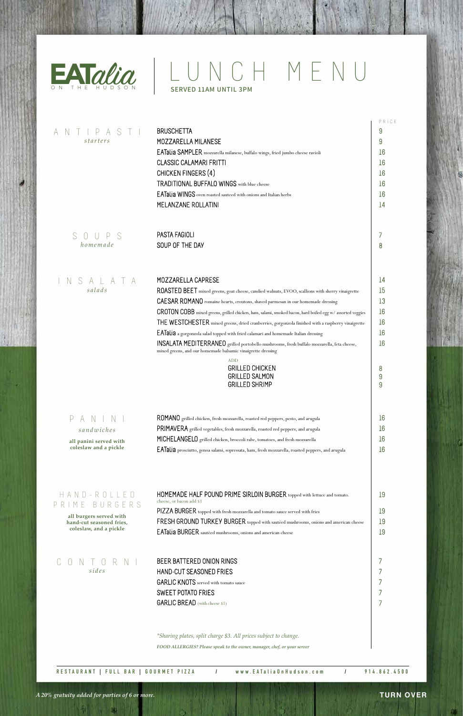**all burgers served with hand-cut seasoned fries,**  HOMEMADE HALF POUND PRIME SIRLOIN BURGER topped with lettuce and tomato. cheese, or bacon add \$1 PIZZA BURGER topped with fresh mozzarella and tomato sauce served with fries  ${\sf FRESH}$  GROUND TURKEY BURGER topped with sautéed mushrooms, onions and american cheese H A N D - R O L L E D P R I M E B U R G E R S

## BEER BATTERED ONION RINGS HAND-CUT SEASONED FRIES  $\ensuremath{\mathsf{GARLIC}}$  KNOTS served with tomato sauce

SWEET POTATO FRIES GARLIC BREAD (with cheese \$1)

|                        |                                                                                                                                                            | PRICE  |
|------------------------|------------------------------------------------------------------------------------------------------------------------------------------------------------|--------|
| starters               | <b>BRUSCHETTA</b><br>MOZZARELLA MILANESE                                                                                                                   | 9<br>9 |
|                        | EATalia SAMPLER mozzarella milanese, buffalo wings, fried jumbo cheese ravioli                                                                             | 16     |
|                        | <b>CLASSIC CALAMARI FRITTI</b>                                                                                                                             | 16     |
|                        | CHICKEN FINGERS (4)                                                                                                                                        | 16     |
|                        | <b>TRADITIONAL BUFFALO WINGS</b> with blue cheese                                                                                                          | 16     |
|                        | EATalia WINGS oven roasted sauteed with onions and Italian herbs                                                                                           | 16     |
|                        | MELANZANE ROLLATINI                                                                                                                                        | 14     |
| S<br>UPS<br>$\bigcup$  | PASTA FAGIOLI                                                                                                                                              |        |
| homemade               | SOUP OF THE DAY                                                                                                                                            | 8      |
|                        |                                                                                                                                                            |        |
| ALAT<br>S              | MOZZARELLA CAPRESE                                                                                                                                         | 14     |
| salads                 | ROASTED BEET mixed greens, goat cheese, candied walnuts, EVOO, scallions with sherry vinaigrette                                                           | 15     |
|                        | CAESAR ROMANO romaine hearts, croutons, shaved parmesan in our homemade dressing                                                                           | 13     |
|                        | CROTON COBB mixed greens, grilled chicken, ham, salami, smoked bacon, hard boiled egg w/assorted veggies                                                   | 16     |
|                        | THE WESTCHESTER mixed greens, dried cranberries, gorgonzola finished with a raspberry vinaigrette                                                          | 16     |
|                        | EATalia a gorgonzola salad topped with fried calamari and homemade Italian dressing                                                                        | 16     |
|                        | INSALATA MEDITERRANEO grilled portobello mushrooms, fresh buffalo mozzarella, feta cheese,<br>mixed greens, and our homemade balsamic vinaigrette dressing | 16     |
|                        | <b>ADD</b><br><b>GRILLED CHICKEN</b>                                                                                                                       |        |
|                        | <b>GRILLED SALMON</b>                                                                                                                                      | 8<br>9 |
|                        | <b>GRILLED SHRIMP</b>                                                                                                                                      | 9      |
|                        | ROMANO grilled chicken, fresh mozzarella, roasted red peppers, pesto, and arugula                                                                          | 16     |
| sandwiches             | PRIMAVERA grilled vegetables, fresh mozzarella, roasted red peppers, and arugula                                                                           | 16     |
| all panini served with | MICHELANGELO grilled chicken, broccoli rabe, tomatoes, and fresh mozzarella                                                                                | 16     |
| coleslaw and a pickle  | EATalia prosciutto, genoa salami, sopressata, ham, fresh mozzarella, roasted peppers, and arugula                                                          | 16     |
|                        |                                                                                                                                                            |        |
| $H$ $A$ $N$ $D$ $-R$   | HOMEMADE HALF POUND PRIME SIRLOIN BURGER topped with lettuce and tomato.                                                                                   | 19     |
|                        |                                                                                                                                                            |        |

**coleslaw, and a pickle**

EATalia BURGER sautéed mushrooms, onions and american cheese

19 19 19

### **RESTAURANT | FULL BAR | GOURMET PIZZA / www.EATaliaOnHudson.com / 914.862.4500**

## CONTORNI *sides*

### **TURN OVER**



# EATalia | LUNCH MENU

*FOOD ALLERGIES? Please speak to the owner, manager, chef, or your server*

*\*Sharing plates, split charge \$3. All prices subject to change.*

*A 20% gratuity added for parties of 6 or more.*